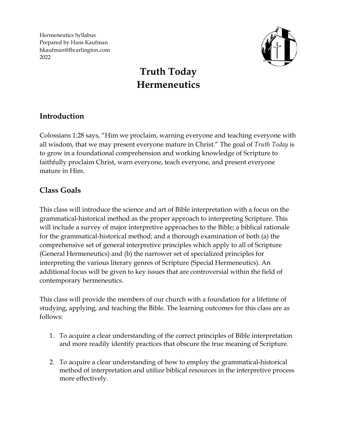Hermeneutics Syllabus Prepared by Hans Kaufman hkaufman@fbcarlington.com 2022



# **Truth Today Hermeneutics**

## **Introduction**

Colossians 1:28 says, "Him we proclaim, warning everyone and teaching everyone with all wisdom, that we may present everyone mature in Christ." The goal of *Truth Today* is to grow in a foundational comprehension and working knowledge of Scripture to faithfully proclaim Christ, warn everyone, teach everyone, and present everyone mature in Him.

## **Class Goals**

This class will introduce the science and art of Bible interpretation with a focus on the grammatical-historical method as the proper approach to interpreting Scripture. This will include a survey of major interpretive approaches to the Bible; a biblical rationale for the grammatical-historical method; and a thorough examination of both (a) the comprehensive set of general interpretive principles which apply to all of Scripture (General Hermeneutics) and (b) the narrower set of specialized principles for interpreting the various literary genres of Scripture (Special Hermeneutics). An additional focus will be given to key issues that are controversial within the field of contemporary hermeneutics.

This class will provide the members of our church with a foundation for a lifetime of studying, applying, and teaching the Bible. The learning outcomes for this class are as follows:

- 1. To acquire a clear understanding of the correct principles of Bible interpretation and more readily identify practices that obscure the true meaning of Scripture.
- 2. To acquire a clear understanding of how to employ the grammatical-historical method of interpretation and utilize biblical resources in the interpretive process more effectively.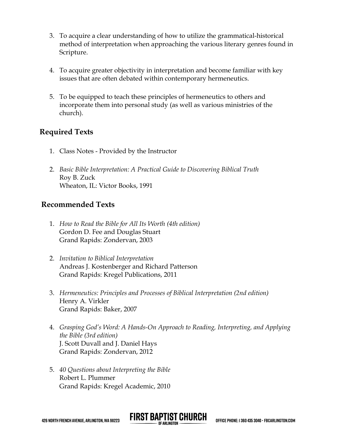- 3. To acquire a clear understanding of how to utilize the grammatical-historical method of interpretation when approaching the various literary genres found in Scripture.
- 4. To acquire greater objectivity in interpretation and become familiar with key issues that are often debated within contemporary hermeneutics.
- 5. To be equipped to teach these principles of hermeneutics to others and incorporate them into personal study (as well as various ministries of the church).

#### **Required Texts**

- 1. Class Notes Provided by the Instructor
- 2. *Basic Bible Interpretation: A Practical Guide to Discovering Biblical Truth* Roy B. Zuck Wheaton, IL: Victor Books, 1991

#### **Recommended Texts**

- 1. *How to Read the Bible for All Its Worth (4th edition)* Gordon D. Fee and Douglas Stuart Grand Rapids: Zondervan, 2003
- 2. *Invitation to Biblical Interpretation* Andreas J. Kostenberger and Richard Patterson Grand Rapids: Kregel Publications, 2011
- 3. *Hermeneutics: Principles and Processes of Biblical Interpretation (2nd edition)* Henry A. Virkler Grand Rapids: Baker, 2007
- 4. *Grasping God's Word: A Hands-On Approach to Reading, Interpreting, and Applying the Bible (3rd edition)* J. Scott Duvall and J. Daniel Hays Grand Rapids: Zondervan, 2012

FIRST BAPTIST CHURCH

**OF ARI INGTON** 

5. *40 Questions about Interpreting the Bible* Robert L. Plummer Grand Rapids: Kregel Academic, 2010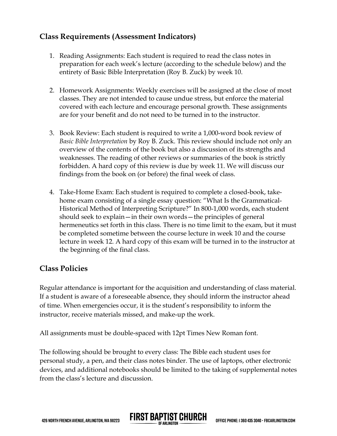#### **Class Requirements (Assessment Indicators)**

- 1. Reading Assignments: Each student is required to read the class notes in preparation for each week's lecture (according to the schedule below) and the entirety of Basic Bible Interpretation (Roy B. Zuck) by week 10.
- 2. Homework Assignments: Weekly exercises will be assigned at the close of most classes. They are not intended to cause undue stress, but enforce the material covered with each lecture and encourage personal growth. These assignments are for your benefit and do not need to be turned in to the instructor.
- 3. Book Review: Each student is required to write a 1,000-word book review of *Basic Bible Interpretation* by Roy B. Zuck. This review should include not only an overview of the contents of the book but also a discussion of its strengths and weaknesses. The reading of other reviews or summaries of the book is strictly forbidden. A hard copy of this review is due by week 11. We will discuss our findings from the book on (or before) the final week of class.
- 4. Take-Home Exam: Each student is required to complete a closed-book, takehome exam consisting of a single essay question: "What Is the Grammatical-Historical Method of Interpreting Scripture?" In 800-1,000 words, each student should seek to explain—in their own words—the principles of general hermeneutics set forth in this class. There is no time limit to the exam, but it must be completed sometime between the course lecture in week 10 and the course lecture in week 12. A hard copy of this exam will be turned in to the instructor at the beginning of the final class.

#### **Class Policies**

Regular attendance is important for the acquisition and understanding of class material. If a student is aware of a foreseeable absence, they should inform the instructor ahead of time. When emergencies occur, it is the student's responsibility to inform the instructor, receive materials missed, and make-up the work.

All assignments must be double-spaced with 12pt Times New Roman font.

The following should be brought to every class: The Bible each student uses for personal study, a pen, and their class notes binder. The use of laptops, other electronic devices, and additional notebooks should be limited to the taking of supplemental notes from the class's lecture and discussion.